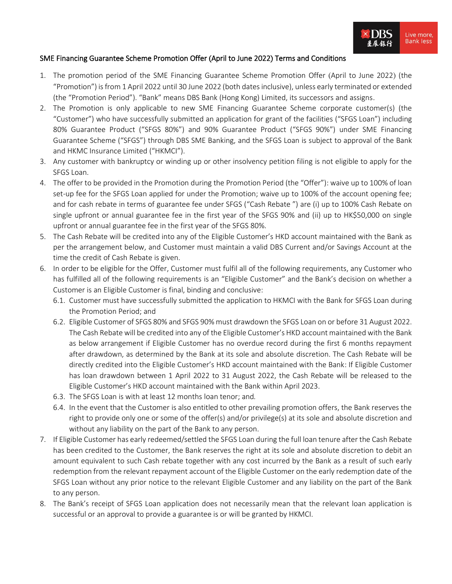

## SME Financing Guarantee Scheme Promotion Offer (April to June 2022) Terms and Conditions

- 1. The promotion period of the SME Financing Guarantee Scheme Promotion Offer (April to June 2022) (the "Promotion") is from 1 April 2022 until 30 June 2022 (both dates inclusive), unless early terminated or extended (the "Promotion Period"). "Bank" means DBS Bank (Hong Kong) Limited, its successors and assigns.
- 2. The Promotion is only applicable to new SME Financing Guarantee Scheme corporate customer(s) (the "Customer") who have successfully submitted an application for grant of the facilities ("SFGS Loan") including 80% Guarantee Product ("SFGS 80%") and 90% Guarantee Product ("SFGS 90%") under SME Financing Guarantee Scheme ("SFGS") through DBS SME Banking, and the SFGS Loan is subject to approval of the Bank and HKMC Insurance Limited ("HKMCI").
- 3. Any customer with bankruptcy or winding up or other insolvency petition filing is not eligible to apply for the SFGS Loan.
- 4. The offer to be provided in the Promotion during the Promotion Period (the "Offer"): waive up to 100% of loan set-up fee for the SFGS Loan applied for under the Promotion; waive up to 100% of the account opening fee; and for cash rebate in terms of guarantee fee under SFGS ("Cash Rebate ") are (i) up to 100% Cash Rebate on single upfront or annual guarantee fee in the first year of the SFGS 90% and (ii) up to HK\$50,000 on single upfront or annual guarantee fee in the first year of the SFGS 80%.
- 5. The Cash Rebate will be credited into any of the Eligible Customer's HKD account maintained with the Bank as per the arrangement below, and Customer must maintain a valid DBS Current and/or Savings Account at the time the credit of Cash Rebate is given.
- 6. In order to be eligible for the Offer, Customer must fulfil all of the following requirements, any Customer who has fulfilled all of the following requirements is an "Eligible Customer" and the Bank's decision on whether a Customer is an Eligible Customer is final, binding and conclusive:
	- 6.1. Customer must have successfully submitted the application to HKMCI with the Bank for SFGS Loan during the Promotion Period; and
	- 6.2. Eligible Customer of SFGS 80% and SFGS 90% must drawdown the SFGS Loan on or before 31 August 2022. The Cash Rebate will be credited into any of the Eligible Customer's HKD account maintained with the Bank as below arrangement if Eligible Customer has no overdue record during the first 6 months repayment after drawdown, as determined by the Bank at its sole and absolute discretion. The Cash Rebate will be directly credited into the Eligible Customer's HKD account maintained with the Bank: If Eligible Customer has loan drawdown between 1 April 2022 to 31 August 2022, the Cash Rebate will be released to the Eligible Customer's HKD account maintained with the Bank within April 2023.
	- 6.3. The SFGS Loan is with at least 12 months loan tenor; and*.*
	- 6.4. In the event that the Customer is also entitled to other prevailing promotion offers, the Bank reserves the right to provide only one or some of the offer(s) and/or privilege(s) at its sole and absolute discretion and without any liability on the part of the Bank to any person.
- 7. If Eligible Customer has early redeemed/settled the SFGS Loan during the full loan tenure after the Cash Rebate has been credited to the Customer, the Bank reserves the right at its sole and absolute discretion to debit an amount equivalent to such Cash rebate together with any cost incurred by the Bank as a result of such early redemption from the relevant repayment account of the Eligible Customer on the early redemption date of the SFGS Loan without any prior notice to the relevant Eligible Customer and any liability on the part of the Bank to any person.
- 8. The Bank's receipt of SFGS Loan application does not necessarily mean that the relevant loan application is successful or an approval to provide a guarantee is or will be granted by HKMCI.